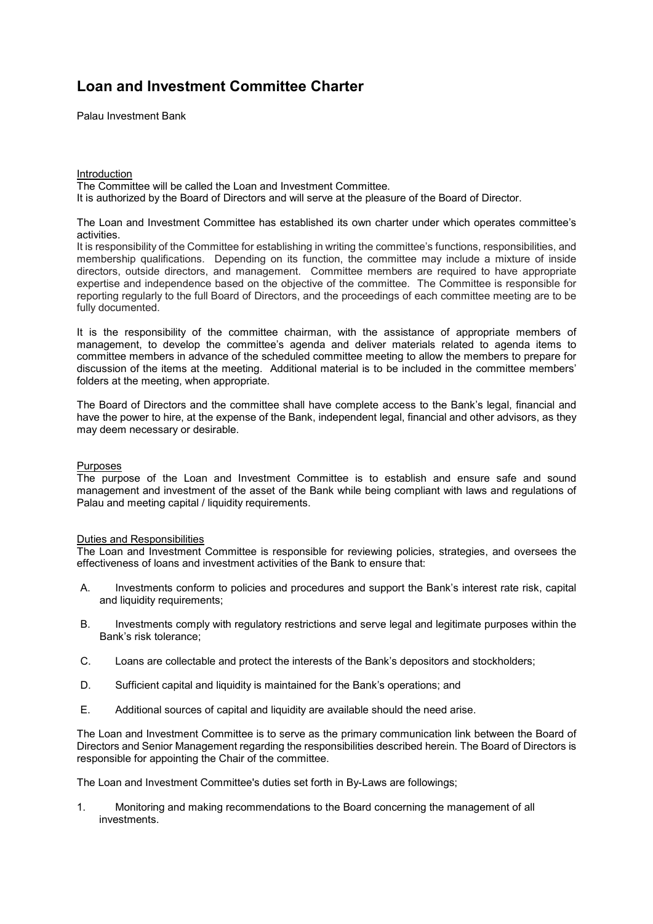Palau Investment Bank

# **Introduction**

The Committee will be called the Loan and Investment Committee. It is authorized by the Board of Directors and will serve at the pleasure of the Board of Director.

The Loan and Investment Committee has established its own charter under which operates committee's activities.

It is responsibility of the Committee for establishing in writing the committee's functions, responsibilities, and membership qualifications. Depending on its function, the committee may include a mixture of inside directors, outside directors, and management. Committee members are required to have appropriate expertise and independence based on the objective of the committee. The Committee is responsible for reporting regularly to the full Board of Directors, and the proceedings of each committee meeting are to be fully documented.

It is the responsibility of the committee chairman, with the assistance of appropriate members of management, to develop the committee's agenda and deliver materials related to agenda items to committee members in advance of the scheduled committee meeting to allow the members to prepare for discussion of the items at the meeting. Additional material is to be included in the committee members' folders at the meeting, when appropriate.

The Board of Directors and the committee shall have complete access to the Bank's legal, financial and have the power to hire, at the expense of the Bank, independent legal, financial and other advisors, as they may deem necessary or desirable.

# Purposes

The purpose of the Loan and Investment Committee is to establish and ensure safe and sound management and investment of the asset of the Bank while being compliant with laws and regulations of Palau and meeting capital / liquidity requirements.

# Duties and Responsibilities

The Loan and Investment Committee is responsible for reviewing policies, strategies, and oversees the effectiveness of loans and investment activities of the Bank to ensure that:

- A. Investments conform to policies and procedures and support the Bank's interest rate risk, capital and liquidity requirements;
- B. Investments comply with regulatory restrictions and serve legal and legitimate purposes within the Bank's risk tolerance;
- C. Loans are collectable and protect the interests of the Bank's depositors and stockholders;
- D. Sufficient capital and liquidity is maintained for the Bank's operations; and
- E. Additional sources of capital and liquidity are available should the need arise.

The Loan and Investment Committee is to serve as the primary communication link between the Board of Directors and Senior Management regarding the responsibilities described herein. The Board of Directors is responsible for appointing the Chair of the committee.

The Loan and Investment Committee's duties set forth in By-Laws are followings;

1. Monitoring and making recommendations to the Board concerning the management of all investments.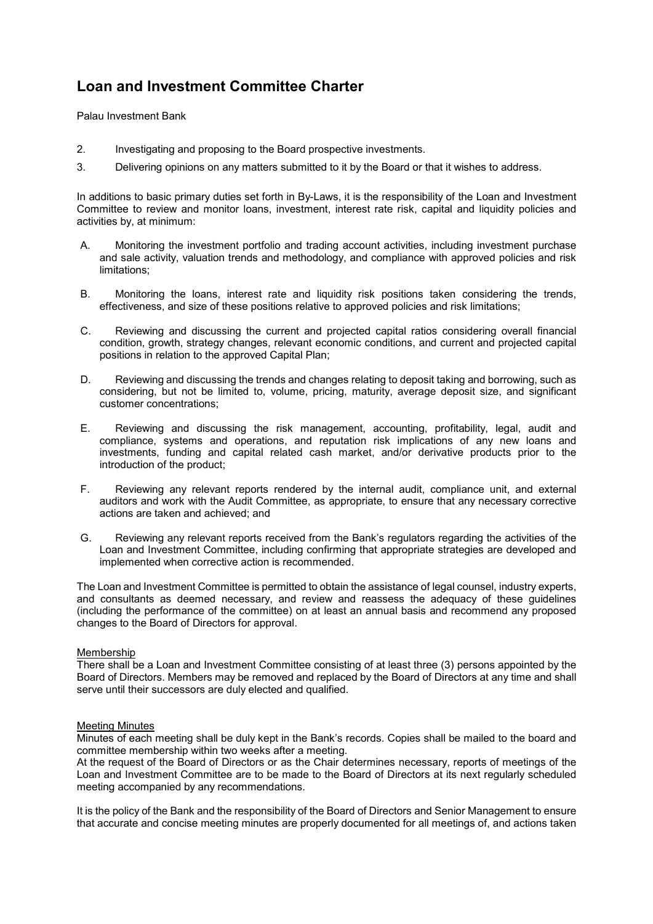Palau Investment Bank

- 2. Investigating and proposing to the Board prospective investments.
- 3. Delivering opinions on any matters submitted to it by the Board or that it wishes to address.

In additions to basic primary duties set forth in By-Laws, it is the responsibility of the Loan and Investment Committee to review and monitor loans, investment, interest rate risk, capital and liquidity policies and activities by, at minimum:

- A. Monitoring the investment portfolio and trading account activities, including investment purchase and sale activity, valuation trends and methodology, and compliance with approved policies and risk limitations;
- B. Monitoring the loans, interest rate and liquidity risk positions taken considering the trends, effectiveness, and size of these positions relative to approved policies and risk limitations;
- C. Reviewing and discussing the current and projected capital ratios considering overall financial condition, growth, strategy changes, relevant economic conditions, and current and projected capital positions in relation to the approved Capital Plan;
- D. Reviewing and discussing the trends and changes relating to deposit taking and borrowing, such as considering, but not be limited to, volume, pricing, maturity, average deposit size, and significant customer concentrations;
- E. Reviewing and discussing the risk management, accounting, profitability, legal, audit and compliance, systems and operations, and reputation risk implications of any new loans and investments, funding and capital related cash market, and/or derivative products prior to the introduction of the product;
- F. Reviewing any relevant reports rendered by the internal audit, compliance unit, and external auditors and work with the Audit Committee, as appropriate, to ensure that any necessary corrective actions are taken and achieved; and
- G. Reviewing any relevant reports received from the Bank's regulators regarding the activities of the Loan and Investment Committee, including confirming that appropriate strategies are developed and implemented when corrective action is recommended.

The Loan and Investment Committee is permitted to obtain the assistance of legal counsel, industry experts, and consultants as deemed necessary, and review and reassess the adequacy of these guidelines (including the performance of the committee) on at least an annual basis and recommend any proposed changes to the Board of Directors for approval.

# Membership

There shall be a Loan and Investment Committee consisting of at least three (3) persons appointed by the Board of Directors. Members may be removed and replaced by the Board of Directors at any time and shall serve until their successors are duly elected and qualified.

# Meeting Minutes

Minutes of each meeting shall be duly kept in the Bank's records. Copies shall be mailed to the board and committee membership within two weeks after a meeting.

At the request of the Board of Directors or as the Chair determines necessary, reports of meetings of the Loan and Investment Committee are to be made to the Board of Directors at its next regularly scheduled meeting accompanied by any recommendations.

It is the policy of the Bank and the responsibility of the Board of Directors and Senior Management to ensure that accurate and concise meeting minutes are properly documented for all meetings of, and actions taken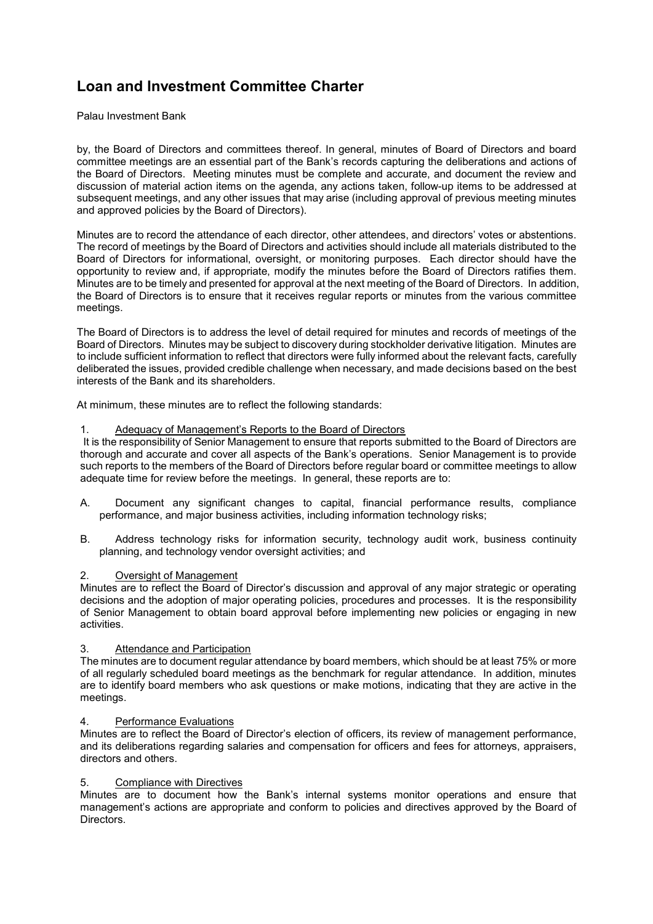Palau Investment Bank

by, the Board of Directors and committees thereof. In general, minutes of Board of Directors and board committee meetings are an essential part of the Bank's records capturing the deliberations and actions of the Board of Directors. Meeting minutes must be complete and accurate, and document the review and discussion of material action items on the agenda, any actions taken, follow-up items to be addressed at subsequent meetings, and any other issues that may arise (including approval of previous meeting minutes and approved policies by the Board of Directors).

Minutes are to record the attendance of each director, other attendees, and directors' votes or abstentions. The record of meetings by the Board of Directors and activities should include all materials distributed to the Board of Directors for informational, oversight, or monitoring purposes. Each director should have the opportunity to review and, if appropriate, modify the minutes before the Board of Directors ratifies them. Minutes are to be timely and presented for approval at the next meeting of the Board of Directors. In addition, the Board of Directors is to ensure that it receives regular reports or minutes from the various committee meetings.

The Board of Directors is to address the level of detail required for minutes and records of meetings of the Board of Directors. Minutes may be subject to discovery during stockholder derivative litigation. Minutes are to include sufficient information to reflect that directors were fully informed about the relevant facts, carefully deliberated the issues, provided credible challenge when necessary, and made decisions based on the best interests of the Bank and its shareholders.

At minimum, these minutes are to reflect the following standards:

# 1. Adequacy of Management's Reports to the Board of Directors

 It is the responsibility of Senior Management to ensure that reports submitted to the Board of Directors are thorough and accurate and cover all aspects of the Bank's operations. Senior Management is to provide such reports to the members of the Board of Directors before regular board or committee meetings to allow adequate time for review before the meetings. In general, these reports are to:

- A. Document any significant changes to capital, financial performance results, compliance performance, and major business activities, including information technology risks;
- B. Address technology risks for information security, technology audit work, business continuity planning, and technology vendor oversight activities; and

# 2. Oversight of Management

Minutes are to reflect the Board of Director's discussion and approval of any major strategic or operating decisions and the adoption of major operating policies, procedures and processes. It is the responsibility of Senior Management to obtain board approval before implementing new policies or engaging in new activities.

# 3. Attendance and Participation

The minutes are to document regular attendance by board members, which should be at least 75% or more of all regularly scheduled board meetings as the benchmark for regular attendance. In addition, minutes are to identify board members who ask questions or make motions, indicating that they are active in the meetings.

# 4. Performance Evaluations

Minutes are to reflect the Board of Director's election of officers, its review of management performance, and its deliberations regarding salaries and compensation for officers and fees for attorneys, appraisers, directors and others.

# 5. Compliance with Directives

Minutes are to document how the Bank's internal systems monitor operations and ensure that management's actions are appropriate and conform to policies and directives approved by the Board of Directors.